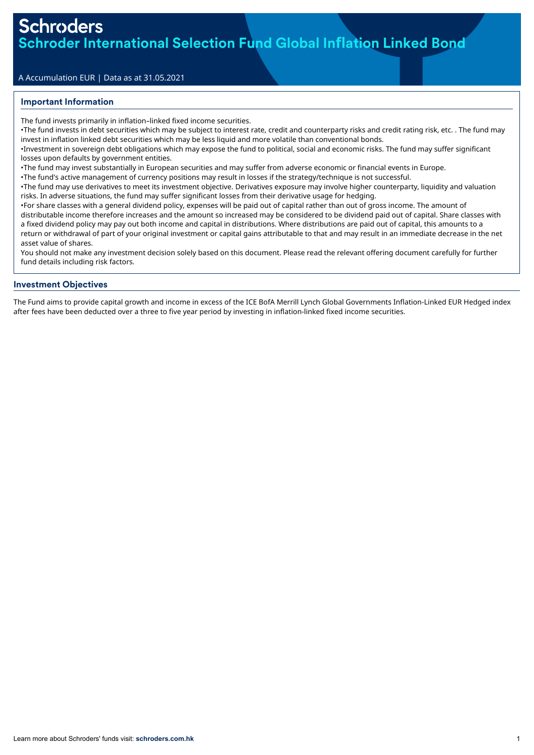## A Accumulation EUR | Data as at 31.05.2021

### Important Information

The fund invests primarily in inflation–linked fixed income securities.

•The fund invests in debt securities which may be subject to interest rate, credit and counterparty risks and credit rating risk, etc. . The fund may invest in inflation linked debt securities which may be less liquid and more volatile than conventional bonds.

•Investment in sovereign debt obligations which may expose the fund to political, social and economic risks. The fund may suffer significant losses upon defaults by government entities.

•The fund may invest substantially in European securities and may suffer from adverse economic or financial events in Europe.

•The fund's active management of currency positions may result in losses if the strategy/technique is not successful.

•The fund may use derivatives to meet its investment objective. Derivatives exposure may involve higher counterparty, liquidity and valuation risks. In adverse situations, the fund may suffer significant losses from their derivative usage for hedging.

•For share classes with a general dividend policy, expenses will be paid out of capital rather than out of gross income. The amount of distributable income therefore increases and the amount so increased may be considered to be dividend paid out of capital. Share classes with a fixed dividend policy may pay out both income and capital in distributions. Where distributions are paid out of capital, this amounts to a return or withdrawal of part of your original investment or capital gains attributable to that and may result in an immediate decrease in the net asset value of shares.

You should not make any investment decision solely based on this document. Please read the relevant offering document carefully for further fund details including risk factors.

#### Investment Objectives

The Fund aims to provide capital growth and income in excess of the ICE BofA Merrill Lynch Global Governments Inflation-Linked EUR Hedged index after fees have been deducted over a three to five year period by investing in inflation-linked fixed income securities.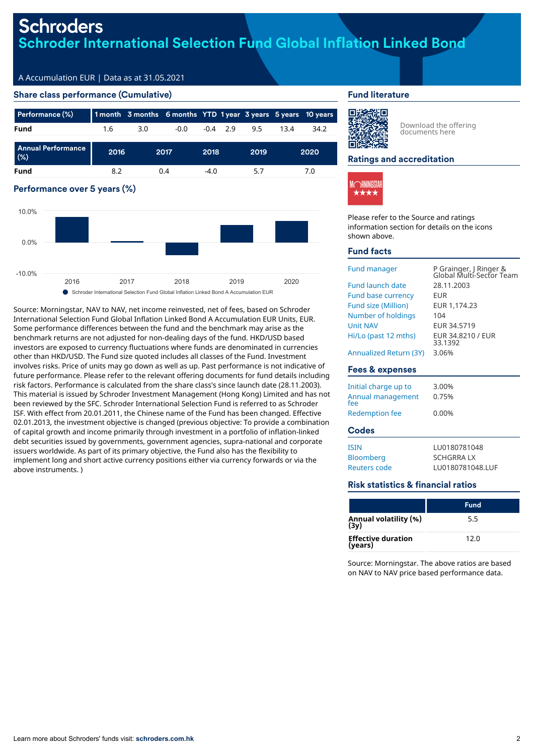# **Schroders** Schroder International Selection Fund Global In**fl**ation Linked Bond

## A Accumulation EUR | Data as at 31.05.2021

#### Share class performance (Cumulative)

| Performance (%)                     |      |     | 1 month 3 months 6 months YTD 1 year 3 years 5 years 10 years |        |            |      |      |      |
|-------------------------------------|------|-----|---------------------------------------------------------------|--------|------------|------|------|------|
| Fund                                | 1.6  | 3.0 | $-0.0$                                                        |        | $-0.4$ 2.9 | 9.5  | 13.4 | 34.2 |
| <b>Annual Performance</b><br>$(\%)$ | 2016 |     | 2017                                                          | 2018   |            | 2019 |      | 2020 |
| Fund                                | 8.2  |     | 0.4                                                           | $-4.0$ |            | 5.7  |      | 7.0  |

# Performance over 5 years (%) 2016 2017 2018 2019 2020 -10.0% 0.0% 10.0%

● Schroder International Selection Fund Global Inflation Linked Bond A Accumulation EUR

Source: Morningstar, NAV to NAV, net income reinvested, net of fees, based on Schroder International Selection Fund Global Inflation Linked Bond A Accumulation EUR Units, EUR. Some performance differences between the fund and the benchmark may arise as the benchmark returns are not adjusted for non-dealing days of the fund. HKD/USD based investors are exposed to currency fluctuations where funds are denominated in currencies other than HKD/USD. The Fund size quoted includes all classes of the Fund. Investment involves risks. Price of units may go down as well as up. Past performance is not indicative of future performance. Please refer to the relevant offering documents for fund details including risk factors. Performance is calculated from the share class's since launch date (28.11.2003). This material is issued by Schroder Investment Management (Hong Kong) Limited and has not been reviewed by the SFC. Schroder International Selection Fund is referred to as Schroder ISF. With effect from 20.01.2011, the Chinese name of the Fund has been changed. Effective 02.01.2013, the investment objective is changed (previous objective: To provide a combination of capital growth and income primarily through investment in a portfolio of inflation-linked debt securities issued by governments, government agencies, supra-national and corporate issuers worldwide. As part of its primary objective, the Fund also has the flexibility to implement long and short active currency positions either via currency forwards or via the above instruments. )

#### Fund literature



Download the offering documents here

#### Ratings and accreditation



Please refer to the Source and ratings information section for details on the icons shown above.

#### Fund facts

| <b>Fund manager</b>    | P Grainger, J Ringer &<br>Global Multi-Sector Team |
|------------------------|----------------------------------------------------|
| Fund launch date       | 28.11.2003                                         |
| Fund base currency     | EUR                                                |
| Fund size (Million)    | EUR 1,174.23                                       |
| Number of holdings     | 104                                                |
| <b>Unit NAV</b>        | EUR 34.5719                                        |
| Hi/Lo (past 12 mths)   | EUR 34.8210 / EUR<br>33.1392                       |
| Annualized Return (3Y) | 3.06%                                              |

#### Fees & expenses

| Initial charge up to<br>Annual management<br>fee<br><b>Redemption fee</b> | 3.00%<br>0.75%<br>$0.00\%$                           |  |  |
|---------------------------------------------------------------------------|------------------------------------------------------|--|--|
| <b>Codes</b>                                                              |                                                      |  |  |
| <b>ISIN</b><br><b>Bloomberg</b><br>Reuters code                           | LU0180781048<br><b>SCHGRRALX</b><br>LU0180781048.LUF |  |  |

#### Risk statistics & financial ratios

|                                      | <b>Fund</b> |
|--------------------------------------|-------------|
| Annual volatility (%)<br>(3y)        | 5.5         |
| <b>Effective duration</b><br>(years) | 12.0        |

Source: Morningstar. The above ratios are based on NAV to NAV price based performance data.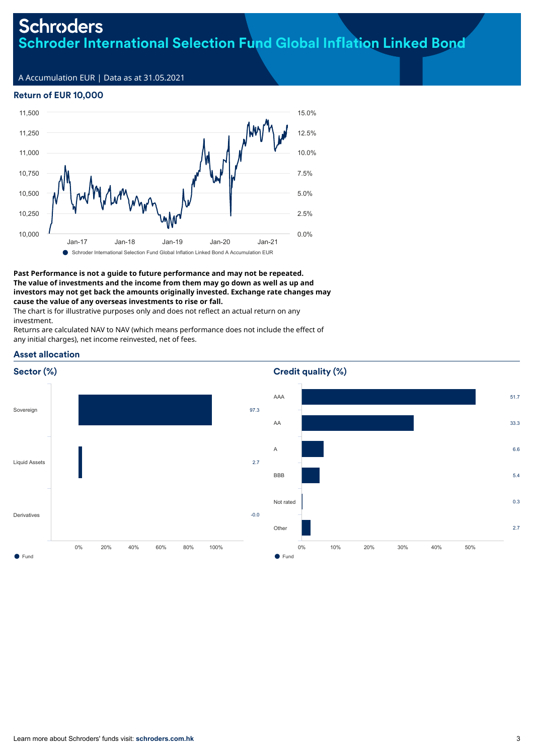# **Schroders** Schroder International Selection Fund Global In**fl**ation Linked Bond

A Accumulation EUR | Data as at 31.05.2021

# Return of EUR 10,000



#### **Past Performance is not a guide to future performance and may not be repeated. The value of investments and the income from them may go down as well as up and investors may not get back the amounts originally invested. Exchange rate changes may cause the value of any overseas investments to rise or fall.**

The chart is for illustrative purposes only and does not reflect an actual return on any investment.

Returns are calculated NAV to NAV (which means performance does not include the effect of any initial charges), net income reinvested, net of fees.



# Credit quality (%)